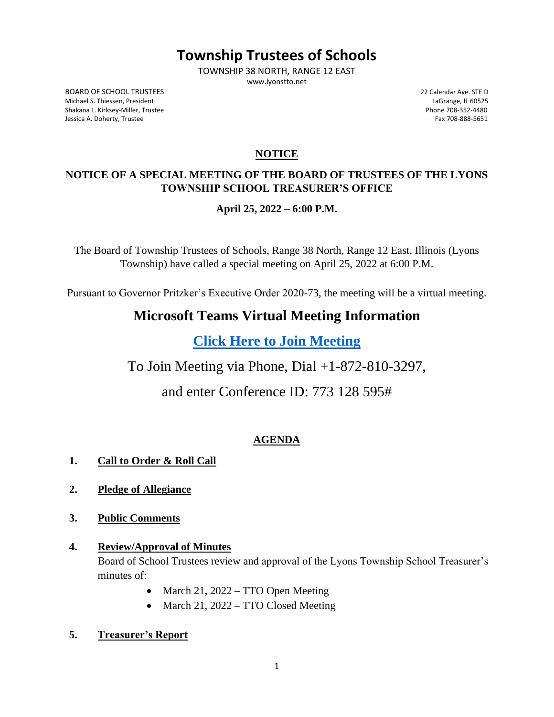# **Township Trustees of Schools**

TOWNSHIP 38 NORTH, RANGE 12 EAST www.lyonstto.net

BOARD OF SCHOOL TRUSTEES 22 Calendar Ave. STE D Michael S. Thiessen, President LaGrange, IL 60525 Shakana L. Kirksey-Miller, Trustee Phone 708-352-4480 Jessica A. Doherty, Trustee Fax 708-888-5651

## **NOTICE**

## **NOTICE OF A SPECIAL MEETING OF THE BOARD OF TRUSTEES OF THE LYONS TOWNSHIP SCHOOL TREASURER'S OFFICE**

## **April 25, 2022 – 6:00 P.M.**

The Board of Township Trustees of Schools, Range 38 North, Range 12 East, Illinois (Lyons Township) have called a special meeting on April 25, 2022 at 6:00 P.M.

Pursuant to Governor Pritzker's Executive Order 2020-73, the meeting will be a virtual meeting.

## **Microsoft Teams Virtual Meeting Information**

**[Click Here to Join](https://teams.microsoft.com/l/meetup-join/19%3ameeting_MmFhOWY2NjAtMGQ1YS00MzhkLWEwOGUtN2EzYjM2YmY0ZTFj%40thread.v2/0?context=%7b%22Tid%22%3a%228b67c7f8-d68e-4260-8d60-39b3b12d46a4%22%2c%22Oid%22%3a%220dbf15bf-a57c-4046-8a07-d1843375ea9a%22%7d) Meeting**

To Join Meeting via Phone, Dial +1-872-810-3297,

and enter Conference ID: 773 128 595#

## **AGENDA**

### **1. Call to Order & Roll Call**

- **2. Pledge of Allegiance**
- **3. Public Comments**
- **4. Review/Approval of Minutes** Board of School Trustees review and approval of the Lyons Township School Treasurer's minutes of:
	- March 21, 2022 TTO Open Meeting
	- March 21, 2022 TTO Closed Meeting
- **5. Treasurer's Report**